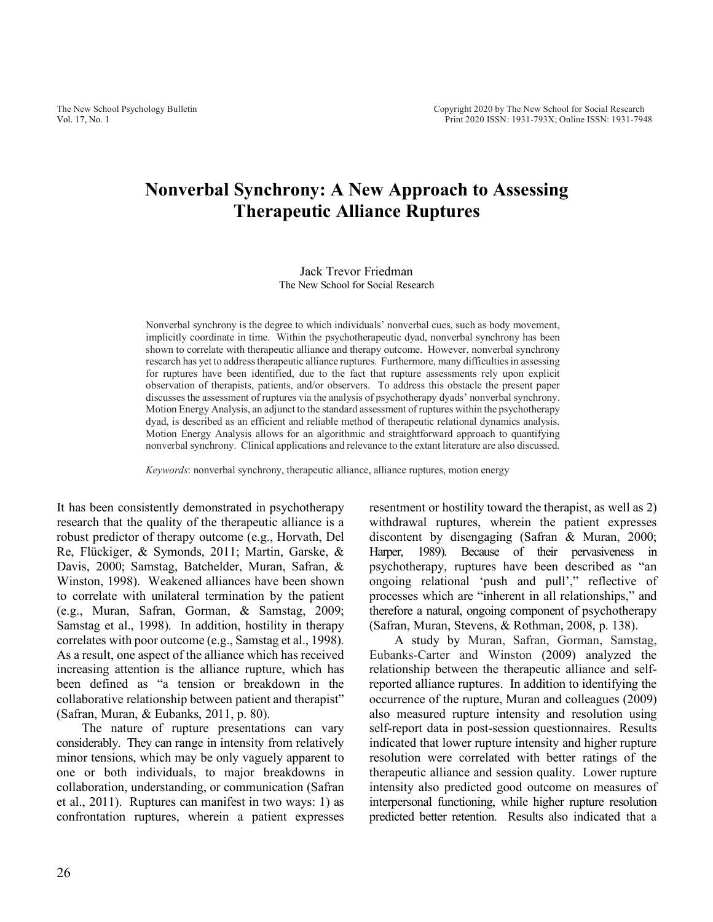# **Nonverbal Synchrony: A New Approach to Assessing Therapeutic Alliance Ruptures**

#### Jack Trevor Friedman The New School for Social Research

Nonverbal synchrony is the degree to which individuals' nonverbal cues, such as body movement, implicitly coordinate in time. Within the psychotherapeutic dyad, nonverbal synchrony has been shown to correlate with therapeutic alliance and therapy outcome. However, nonverbal synchrony research has yet to address therapeutic alliance ruptures. Furthermore, many difficulties in assessing for ruptures have been identified, due to the fact that rupture assessments rely upon explicit observation of therapists, patients, and/or observers. To address this obstacle the present paper discusses the assessment of ruptures via the analysis of psychotherapy dyads' nonverbal synchrony. Motion Energy Analysis, an adjunct to the standard assessment of ruptures within the psychotherapy dyad, is described as an efficient and reliable method of therapeutic relational dynamics analysis. Motion Energy Analysis allows for an algorithmic and straightforward approach to quantifying nonverbal synchrony. Clinical applications and relevance to the extant literature are also discussed.

*Keywords*: nonverbal synchrony, therapeutic alliance, alliance ruptures, motion energy

It has been consistently demonstrated in psychotherapy research that the quality of the therapeutic alliance is a robust predictor of therapy outcome (e.g., Horvath, Del Re, Flückiger, & Symonds, 2011; Martin, Garske, & Davis, 2000; Samstag, Batchelder, Muran, Safran, & Winston, 1998). Weakened alliances have been shown to correlate with unilateral termination by the patient (e.g., Muran, Safran, Gorman, & Samstag, 2009; Samstag et al., 1998). In addition, hostility in therapy correlates with poor outcome (e.g., Samstag et al., 1998). As a result, one aspect of the alliance which has received increasing attention is the alliance rupture, which has been defined as "a tension or breakdown in the collaborative relationship between patient and therapist" (Safran, Muran, & Eubanks, 2011, p. 80).

The nature of rupture presentations can vary considerably. They can range in intensity from relatively minor tensions, which may be only vaguely apparent to one or both individuals, to major breakdowns in collaboration, understanding, or communication (Safran et al., 2011). Ruptures can manifest in two ways: 1) as confrontation ruptures, wherein a patient expresses resentment or hostility toward the therapist, as well as 2) withdrawal ruptures, wherein the patient expresses discontent by disengaging (Safran & Muran, 2000; Harper, 1989). Because of their pervasiveness in psychotherapy, ruptures have been described as "an ongoing relational 'push and pull'," reflective of processes which are "inherent in all relationships," and therefore a natural, ongoing component of psychotherapy (Safran, Muran, Stevens, & Rothman, 2008, p. 138).

A study by Muran, Safran, Gorman, Samstag, Eubanks-Carter and Winston (2009) analyzed the relationship between the therapeutic alliance and selfreported alliance ruptures. In addition to identifying the occurrence of the rupture, Muran and colleagues (2009) also measured rupture intensity and resolution using self-report data in post-session questionnaires. Results indicated that lower rupture intensity and higher rupture resolution were correlated with better ratings of the therapeutic alliance and session quality. Lower rupture intensity also predicted good outcome on measures of interpersonal functioning, while higher rupture resolution predicted better retention. Results also indicated that a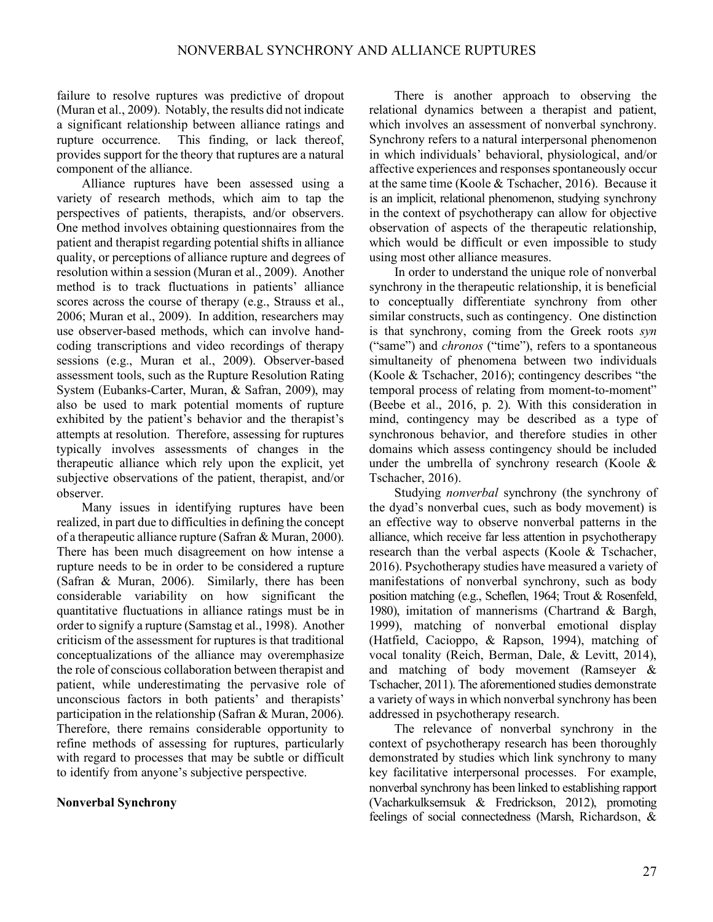failure to resolve ruptures was predictive of dropout (Muran et al., 2009). Notably, the results did not indicate a significant relationship between alliance ratings and rupture occurrence. This finding, or lack thereof, provides support for the theory that ruptures are a natural component of the alliance.

Alliance ruptures have been assessed using a variety of research methods, which aim to tap the perspectives of patients, therapists, and/or observers. One method involves obtaining questionnaires from the patient and therapist regarding potential shifts in alliance quality, or perceptions of alliance rupture and degrees of resolution within a session (Muran et al., 2009). Another method is to track fluctuations in patients' alliance scores across the course of therapy (e.g., Strauss et al., 2006; Muran et al., 2009). In addition, researchers may use observer-based methods, which can involve handcoding transcriptions and video recordings of therapy sessions (e.g., Muran et al., 2009). Observer-based assessment tools, such as the Rupture Resolution Rating System (Eubanks-Carter, Muran, & Safran, 2009), may also be used to mark potential moments of rupture exhibited by the patient's behavior and the therapist's attempts at resolution. Therefore, assessing for ruptures typically involves assessments of changes in the therapeutic alliance which rely upon the explicit, yet subjective observations of the patient, therapist, and/or observer.

Many issues in identifying ruptures have been realized, in part due to difficulties in defining the concept of a therapeutic alliance rupture (Safran & Muran, 2000). There has been much disagreement on how intense a rupture needs to be in order to be considered a rupture (Safran & Muran, 2006). Similarly, there has been considerable variability on how significant the quantitative fluctuations in alliance ratings must be in order to signify a rupture (Samstag et al., 1998). Another criticism of the assessment for ruptures is that traditional conceptualizations of the alliance may overemphasize the role of conscious collaboration between therapist and patient, while underestimating the pervasive role of unconscious factors in both patients' and therapists' participation in the relationship (Safran & Muran, 2006). Therefore, there remains considerable opportunity to refine methods of assessing for ruptures, particularly with regard to processes that may be subtle or difficult to identify from anyone's subjective perspective.

## **Nonverbal Synchrony**

There is another approach to observing the relational dynamics between a therapist and patient, which involves an assessment of nonverbal synchrony. Synchrony refers to a natural interpersonal phenomenon in which individuals' behavioral, physiological, and/or affective experiences and responses spontaneously occur at the same time (Koole & Tschacher, 2016). Because it is an implicit, relational phenomenon, studying synchrony in the context of psychotherapy can allow for objective observation of aspects of the therapeutic relationship, which would be difficult or even impossible to study using most other alliance measures.

In order to understand the unique role of nonverbal synchrony in the therapeutic relationship, it is beneficial to conceptually differentiate synchrony from other similar constructs, such as contingency. One distinction is that synchrony, coming from the Greek roots *syn* ("same") and *chronos* ("time"), refers to a spontaneous simultaneity of phenomena between two individuals (Koole & Tschacher, 2016); contingency describes "the temporal process of relating from moment-to-moment" (Beebe et al., 2016, p. 2). With this consideration in mind, contingency may be described as a type of synchronous behavior, and therefore studies in other domains which assess contingency should be included under the umbrella of synchrony research (Koole & Tschacher, 2016).

Studying *nonverbal* synchrony (the synchrony of the dyad's nonverbal cues, such as body movement) is an effective way to observe nonverbal patterns in the alliance, which receive far less attention in psychotherapy research than the verbal aspects (Koole & Tschacher, 2016). Psychotherapy studies have measured a variety of manifestations of nonverbal synchrony, such as body position matching (e.g., Scheflen, 1964; Trout & Rosenfeld, 1980), imitation of mannerisms (Chartrand & Bargh, 1999), matching of nonverbal emotional display (Hatfield, Cacioppo, & Rapson, 1994), matching of vocal tonality (Reich, Berman, Dale, & Levitt, 2014), and matching of body movement (Ramseyer & Tschacher, 2011). The aforementioned studies demonstrate a variety of ways in which nonverbal synchrony has been addressed in psychotherapy research.

The relevance of nonverbal synchrony in the context of psychotherapy research has been thoroughly demonstrated by studies which link synchrony to many key facilitative interpersonal processes. For example, nonverbal synchrony has been linked to establishing rapport (Vacharkulksemsuk & Fredrickson, 2012), promoting feelings of social connectedness (Marsh, Richardson, &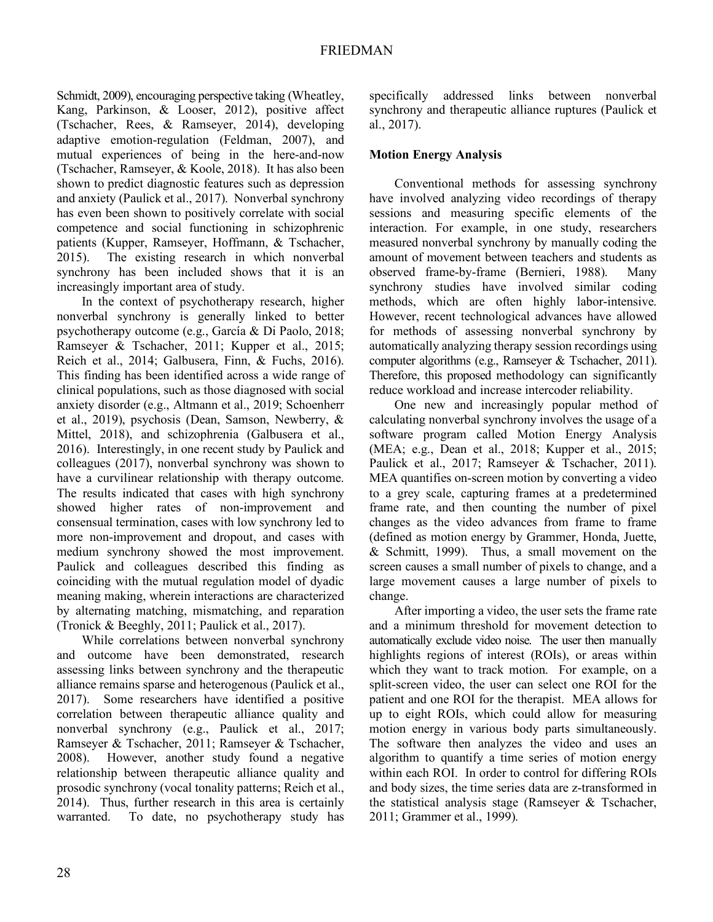Schmidt, 2009), encouraging perspective taking (Wheatley, Kang, Parkinson, & Looser, 2012), positive affect (Tschacher, Rees, & Ramseyer, 2014), developing adaptive emotion-regulation (Feldman, 2007), and mutual experiences of being in the here-and-now (Tschacher, Ramseyer, & Koole, 2018). It has also been shown to predict diagnostic features such as depression and anxiety (Paulick et al., 2017). Nonverbal synchrony has even been shown to positively correlate with social competence and social functioning in schizophrenic patients (Kupper, Ramseyer, Hoffmann, & Tschacher, 2015). The existing research in which nonverbal synchrony has been included shows that it is an increasingly important area of study.

In the context of psychotherapy research, higher nonverbal synchrony is generally linked to better psychotherapy outcome (e.g., García & Di Paolo, 2018; Ramseyer & Tschacher, 2011; Kupper et al., 2015; Reich et al., 2014; Galbusera, Finn, & Fuchs, 2016). This finding has been identified across a wide range of clinical populations, such as those diagnosed with social anxiety disorder (e.g., Altmann et al., 2019; Schoenherr et al., 2019), psychosis (Dean, Samson, Newberry, & Mittel, 2018), and schizophrenia (Galbusera et al., 2016). Interestingly, in one recent study by Paulick and colleagues (2017), nonverbal synchrony was shown to have a curvilinear relationship with therapy outcome. The results indicated that cases with high synchrony showed higher rates of non-improvement and consensual termination, cases with low synchrony led to more non-improvement and dropout, and cases with medium synchrony showed the most improvement. Paulick and colleagues described this finding as coinciding with the mutual regulation model of dyadic meaning making, wherein interactions are characterized by alternating matching, mismatching, and reparation (Tronick & Beeghly, 2011; Paulick et al., 2017).

While correlations between nonverbal synchrony and outcome have been demonstrated, research assessing links between synchrony and the therapeutic alliance remains sparse and heterogenous (Paulick et al., 2017). Some researchers have identified a positive correlation between therapeutic alliance quality and nonverbal synchrony (e.g., Paulick et al., 2017; Ramseyer & Tschacher, 2011; Ramseyer & Tschacher, 2008). However, another study found a negative relationship between therapeutic alliance quality and prosodic synchrony (vocal tonality patterns; Reich et al., 2014). Thus, further research in this area is certainly warranted. To date, no psychotherapy study has specifically addressed links between nonverbal synchrony and therapeutic alliance ruptures (Paulick et al., 2017).

## **Motion Energy Analysis**

Conventional methods for assessing synchrony have involved analyzing video recordings of therapy sessions and measuring specific elements of the interaction. For example, in one study, researchers measured nonverbal synchrony by manually coding the amount of movement between teachers and students as observed frame-by-frame (Bernieri, 1988). Many synchrony studies have involved similar coding methods, which are often highly labor-intensive. However, recent technological advances have allowed for methods of assessing nonverbal synchrony by automatically analyzing therapy session recordings using computer algorithms (e.g., Ramseyer & Tschacher, 2011). Therefore, this proposed methodology can significantly reduce workload and increase intercoder reliability.

One new and increasingly popular method of calculating nonverbal synchrony involves the usage of a software program called Motion Energy Analysis (MEA; e.g., Dean et al., 2018; Kupper et al., 2015; Paulick et al., 2017; Ramseyer & Tschacher, 2011). MEA quantifies on-screen motion by converting a video to a grey scale, capturing frames at a predetermined frame rate, and then counting the number of pixel changes as the video advances from frame to frame (defined as motion energy by Grammer, Honda, Juette, & Schmitt, 1999). Thus, a small movement on the screen causes a small number of pixels to change, and a large movement causes a large number of pixels to change.

After importing a video, the user sets the frame rate and a minimum threshold for movement detection to automatically exclude video noise. The user then manually highlights regions of interest (ROIs), or areas within which they want to track motion. For example, on a split-screen video, the user can select one ROI for the patient and one ROI for the therapist. MEA allows for up to eight ROIs, which could allow for measuring motion energy in various body parts simultaneously. The software then analyzes the video and uses an algorithm to quantify a time series of motion energy within each ROI. In order to control for differing ROIs and body sizes, the time series data are z-transformed in the statistical analysis stage (Ramseyer & Tschacher, 2011; Grammer et al., 1999).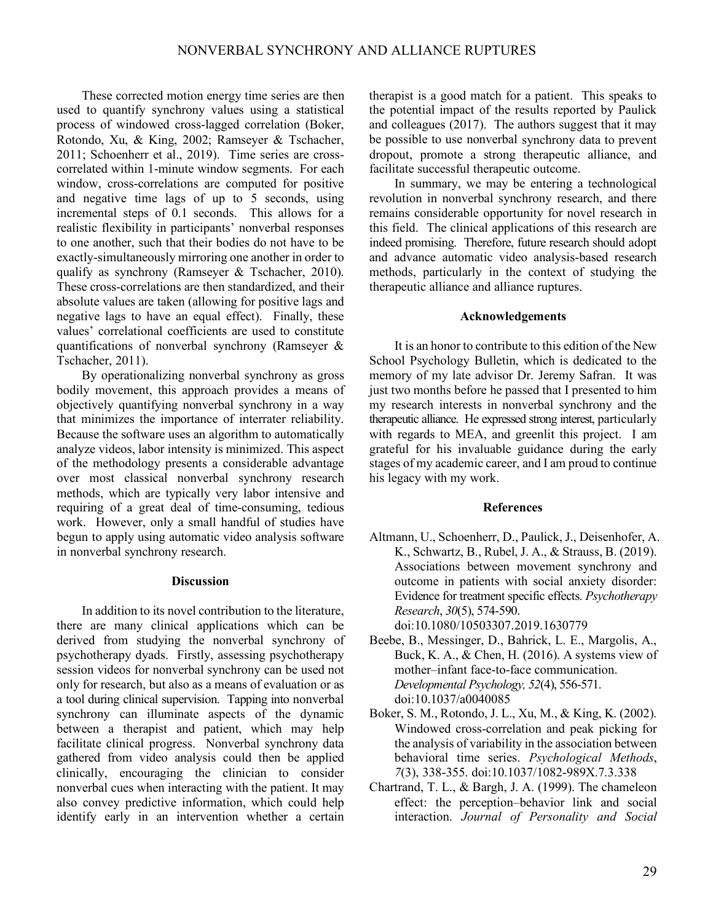These corrected motion energy time series are then used to quantify synchrony values using a statistical process of windowed cross-lagged correlation (Boker, Rotondo, Xu, & King, 2002; Ramseyer & Tschacher, 2011; Schoenherr et al., 2019). Time series are crosscorrelated within 1-minute window segments. For each window, cross-correlations are computed for positive and negative time lags of up to 5 seconds, using incremental steps of 0.1 seconds. This allows for a realistic flexibility in participants' nonverbal responses to one another, such that their bodies do not have to be exactly-simultaneously mirroring one another in order to qualify as synchrony (Ramseyer & Tschacher, 2010). These cross-correlations are then standardized, and their absolute values are taken (allowing for positive lags and negative lags to have an equal effect). Finally, these values' correlational coefficients are used to constitute quantifications of nonverbal synchrony (Ramseyer & Tschacher, 2011).

By operationalizing nonverbal synchrony as gross bodily movement, this approach provides a means of objectively quantifying nonverbal synchrony in a way that minimizes the importance of interrater reliability. Because the software uses an algorithm to automatically analyze videos, labor intensity is minimized. This aspect of the methodology presents a considerable advantage over most classical nonverbal synchrony research methods, which are typically very labor intensive and requiring of a great deal of time-consuming, tedious work. However, only a small handful of studies have begun to apply using automatic video analysis software in nonverbal synchrony research.

## **Discussion**

In addition to its novel contribution to the literature, there are many clinical applications which can be derived from studying the nonverbal synchrony of psychotherapy dyads. Firstly, assessing psychotherapy session videos for nonverbal synchrony can be used not only for research, but also as a means of evaluation or as a tool during clinical supervision. Tapping into nonverbal synchrony can illuminate aspects of the dynamic between a therapist and patient, which may help facilitate clinical progress. Nonverbal synchrony data gathered from video analysis could then be applied clinically, encouraging the clinician to consider nonverbal cues when interacting with the patient. It may also convey predictive information, which could help identify early in an intervention whether a certain therapist is a good match for a patient. This speaks to the potential impact of the results reported by Paulick and colleagues (2017). The authors suggest that it may be possible to use nonverbal synchrony data to prevent dropout, promote a strong therapeutic alliance, and facilitate successful therapeutic outcome.

In summary, we may be entering a technological revolution in nonverbal synchrony research, and there remains considerable opportunity for novel research in this field. The clinical applications of this research are indeed promising. Therefore, future research should adopt and advance automatic video analysis-based research methods, particularly in the context of studying the therapeutic alliance and alliance ruptures.

### **Acknowledgements**

It is an honor to contribute to this edition of the New School Psychology Bulletin, which is dedicated to the memory of my late advisor Dr. Jeremy Safran. It was just two months before he passed that I presented to him my research interests in nonverbal synchrony and the therapeutic alliance. He expressed strong interest, particularly with regards to MEA, and greenlit this project. I am grateful for his invaluable guidance during the early stages of my academic career, and I am proud to continue his legacy with my work.

#### **References**

- Altmann, U., Schoenherr, D., Paulick, J., Deisenhofer, A. K., Schwartz, B., Rubel, J. A., & Strauss, B. (2019). Associations between movement synchrony and outcome in patients with social anxiety disorder: Evidence for treatment specific effects. *Psychotherapy Research*, *30*(5), 574-590. doi:10.1080/10503307.2019.1630779
- Beebe, B., Messinger, D., Bahrick, L. E., Margolis, A., Buck, K. A., & Chen, H. (2016). A systems view of mother–infant face-to-face communication. *Developmental Psychology, 52*(4), 556-571. doi:10.1037/a0040085
- Boker, S. M., Rotondo, J. L., Xu, M., & King, K. (2002). Windowed cross-correlation and peak picking for the analysis of variability in the association between behavioral time series. *Psychological Methods*, *7*(3), 338-355. doi:10.1037/1082-989X.7.3.338
- Chartrand, T. L., & Bargh, J. A. (1999). The chameleon effect: the perception–behavior link and social interaction. *Journal of Personality and Social*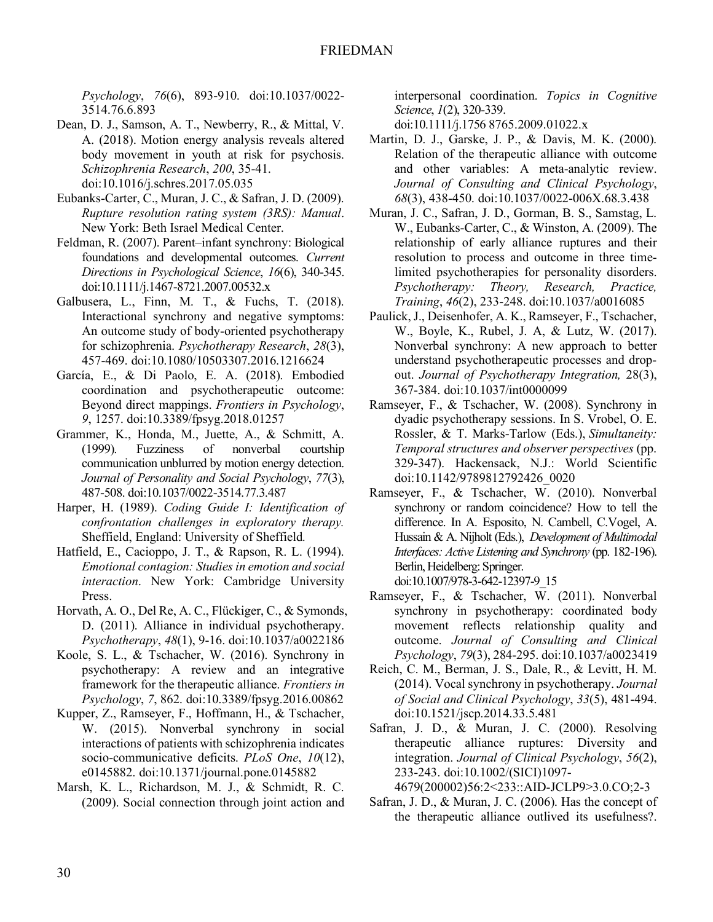*Psychology*, *76*(6), 893-910. doi:10.1037/0022- 3514.76.6.893

- Dean, D. J., Samson, A. T., Newberry, R., & Mittal, V. A. (2018). Motion energy analysis reveals altered body movement in youth at risk for psychosis. *Schizophrenia Research*, *200*, 35-41. doi:10.1016/j.schres.2017.05.035
- Eubanks-Carter, C., Muran, J. C., & Safran, J. D. (2009). *Rupture resolution rating system (3RS): Manual*. New York: Beth Israel Medical Center.
- Feldman, R. (2007). Parent–infant synchrony: Biological foundations and developmental outcomes. *Current Directions in Psychological Science*, *16*(6), 340-345. doi:10.1111/j.1467-8721.2007.00532.x
- Galbusera, L., Finn, M. T., & Fuchs, T. (2018). Interactional synchrony and negative symptoms: An outcome study of body-oriented psychotherapy for schizophrenia. *Psychotherapy Research*, *28*(3), 457-469. doi:10.1080/10503307.2016.1216624
- García, E., & Di Paolo, E. A. (2018). Embodied coordination and psychotherapeutic outcome: Beyond direct mappings. *Frontiers in Psychology*, *9*, 1257. doi:10.3389/fpsyg.2018.01257
- Grammer, K., Honda, M., Juette, A., & Schmitt, A. (1999). Fuzziness of nonverbal courtship communication unblurred by motion energy detection. *Journal of Personality and Social Psychology*, *77*(3), 487-508. doi:10.1037/0022-3514.77.3.487
- Harper, H. (1989). *Coding Guide I: Identification of confrontation challenges in exploratory therapy.* Sheffield, England: University of Sheffield*.*
- Hatfield, E., Cacioppo, J. T., & Rapson, R. L. (1994). *Emotional contagion: Studies in emotion and social interaction*. New York: Cambridge University Press.
- Horvath, A. O., Del Re, A. C., Flückiger, C., & Symonds, D. (2011). Alliance in individual psychotherapy. *Psychotherapy*, *48*(1), 9-16. doi:10.1037/a0022186
- Koole, S. L., & Tschacher, W. (2016). Synchrony in psychotherapy: A review and an integrative framework for the therapeutic alliance. *Frontiers in Psychology*, *7*, 862. doi:10.3389/fpsyg.2016.00862
- Kupper, Z., Ramseyer, F., Hoffmann, H., & Tschacher, W. (2015). Nonverbal synchrony in social interactions of patients with schizophrenia indicates socio-communicative deficits. *PLoS One*, *10*(12), e0145882. doi:10.1371/journal.pone.0145882
- Marsh, K. L., Richardson, M. J., & Schmidt, R. C. (2009). Social connection through joint action and

interpersonal coordination. *Topics in Cognitive Science*, *1*(2), 320-339.

doi:10.1111/j.1756 8765.2009.01022.x

- Martin, D. J., Garske, J. P., & Davis, M. K. (2000). Relation of the therapeutic alliance with outcome and other variables: A meta-analytic review. *Journal of Consulting and Clinical Psychology*, *68*(3), 438-450. doi:10.1037/0022-006X.68.3.438
- Muran, J. C., Safran, J. D., Gorman, B. S., Samstag, L. W., Eubanks-Carter, C., & Winston, A. (2009). The relationship of early alliance ruptures and their resolution to process and outcome in three timelimited psychotherapies for personality disorders. *Psychotherapy: Theory, Research, Practice, Training*, *46*(2), 233-248. doi:10.1037/a0016085
- Paulick, J., Deisenhofer, A. K., Ramseyer, F., Tschacher, W., Boyle, K., Rubel, J. A, & Lutz, W. (2017). Nonverbal synchrony: A new approach to better understand psychotherapeutic processes and dropout. *Journal of Psychotherapy Integration,* 28(3), 367-384. doi:10.1037/int0000099
- Ramseyer, F., & Tschacher, W. (2008). Synchrony in dyadic psychotherapy sessions. In S. Vrobel, O. E. Rossler, & T. Marks-Tarlow (Eds.), *Simultaneity: Temporal structures and observer perspectives* (pp. 329-347). Hackensack, N.J.: World Scientific doi:10.1142/9789812792426\_0020
- Ramseyer, F., & Tschacher, W. (2010). Nonverbal synchrony or random coincidence? How to tell the difference. In A. Esposito, N. Cambell, C.Vogel, A. Hussain & A. Nijholt (Eds.), *Development of Multimodal Interfaces: Active Listening and Synchrony* (pp. 182-196). Berlin, Heidelberg: Springer. doi:10.1007/978-3-642-12397-9\_15
- Ramseyer, F.,  $\&$  Tschacher, W. (2011). Nonverbal synchrony in psychotherapy: coordinated body movement reflects relationship quality and outcome. *Journal of Consulting and Clinical Psychology*, *79*(3), 284-295. doi:10.1037/a0023419
- Reich, C. M., Berman, J. S., Dale, R., & Levitt, H. M. (2014). Vocal synchrony in psychotherapy. *Journal of Social and Clinical Psychology*, *33*(5), 481-494. doi:10.1521/jscp.2014.33.5.481
- Safran, J. D., & Muran, J. C. (2000). Resolving therapeutic alliance ruptures: Diversity and integration. *Journal of Clinical Psychology*, *56*(2), 233-243. doi:10.1002/(SICI)1097-
	- 4679(200002)56:2<233::AID-JCLP9>3.0.CO;2-3
- Safran, J. D., & Muran, J. C. (2006). Has the concept of the therapeutic alliance outlived its usefulness?.